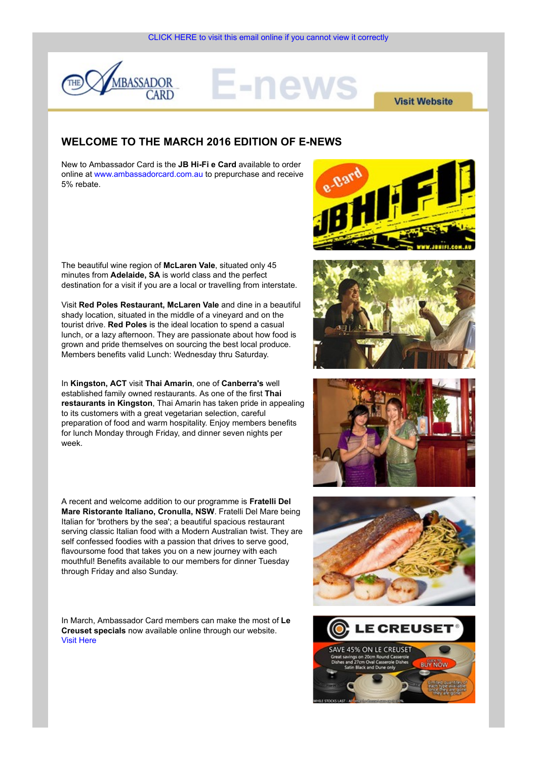

# =-new

**Visit Website** 

## WELCOME TO THE MARCH 2016 EDITION OF E-NEWS

New to Ambassador Card is the JB Hi-Fi e Card available to order online at www.ambassadorcard.com.au to prepurchase and receive 5% rebate.



The beautiful wine region of McLaren Vale, situated only 45 minutes from Adelaide, SA is world class and the perfect destination for a visit if you are a local or travelling from interstate.

Visit Red Poles Restaurant, McLaren Vale and dine in a beautiful shady location, situated in the middle of a vineyard and on the tourist drive. Red Poles is the ideal location to spend a casual lunch, or a lazy afternoon. They are passionate about how food is grown and pride themselves on sourcing the best local produce. Members benefits valid Lunch: Wednesday thru Saturday.

In Kingston, ACT visit Thai Amarin, one of Canberra's well established family owned restaurants. As one of the first Thai restaurants in Kingston, Thai Amarin has taken pride in appealing to its customers with a great vegetarian selection, careful preparation of food and warm hospitality. Enjoy members benefits for lunch Monday through Friday, and dinner seven nights per week.

A recent and welcome addition to our programme is Fratelli Del Mare Ristorante Italiano, Cronulla, NSW. Fratelli Del Mare being Italian for 'brothers by the sea'; a beautiful spacious restaurant serving classic Italian food with a Modern Australian twist. They are self confessed foodies with a passion that drives to serve good, flavoursome food that takes you on a new journey with each mouthful! Benefits available to our members for dinner Tuesday through Friday and also Sunday.

In March, Ambassador Card members can make the most of Le<br>Croused specials now available online through our website Creuset specials now available online through our website. Visit Here







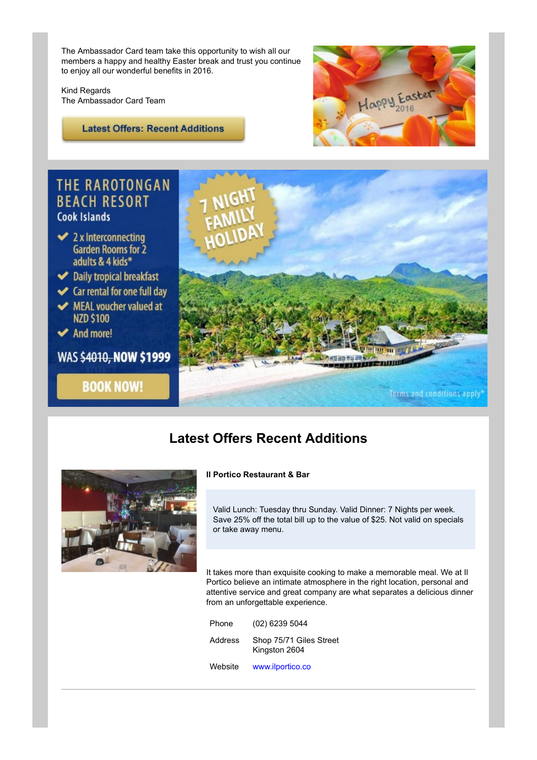The Ambassador Card team take this opportunity to wish all our members a happy and healthy Easter break and trust you continue to enjoy all our wonderful benefits in 2016.

Kind Regards

**Latest Offers: Recent Additions** 



# **THE RAROTONGAN BEACH RESORT** Cook Islands

- $\blacktriangleright$  2 x Interconnecting **Garden Rooms for 2** adults & 4 kids\*
- Daily tropical breakfast
- ← Car rental for one full day
- MEAL voucher valued at **NZD \$100**
- ◆ And more!
- WAS \$4010, NOW \$1999

**BOOK NOW!** 



# Latest Offers Recent Additions



## Il Portico Restaurant & Bar

Valid Lunch: Tuesday thru Sunday. Valid Dinner: 7 Nights per week. Save 25% off the total bill up to the value of \$25. Not valid on specials or take away menu.

It takes more than exquisite cooking to make a memorable meal. We at Il Portico believe an intimate atmosphere in the right location, personal and attentive service and great company are what separates a delicious dinner from an unforgettable experience. Frams and conditions apply<br> **Phone (20)**<br> **Phone (20)**<br> **Phone (20)**<br> **Phone (20)**<br> **Phone (20)**<br> **Phone (20)**<br> **Phone (20)**<br> **Phone (20)**<br> **Phone (20)**<br> **Phone (20)**<br> **Phone (20)**<br> **Phone (20)**<br> **Phone (20)**<br> **Phone (20) Offers Recent Additions**<br> **Portico Restaurant & Bar**<br>
Valid Lunch: Tuesday thru Sunday. Valid Dinner: 7 Nights per week.<br>
Save 25% of the total bill up to the value of \$25. Not valid on specials<br>
or take away menu.<br>
takes

| Phone   | (02) 6239 5044                           |
|---------|------------------------------------------|
| Address | Shop 75/71 Giles Street<br>Kingston 2604 |
|         | Website www.ilportico.co                 |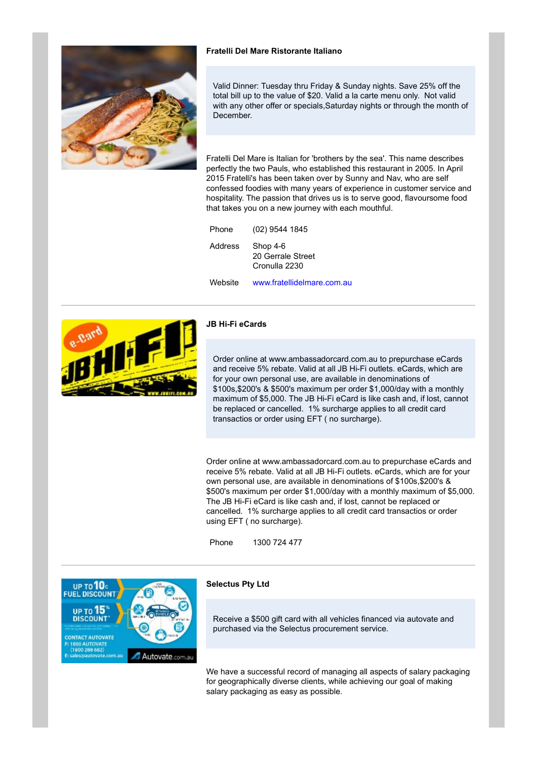

### Fratelli Del Mare Ristorante Italiano

Valid Dinner: Tuesday thru Friday & Sunday nights. Save 25% off the total bill up to the value of \$20. Valid a la carte menu only. Not valid with any other offer or specials. Saturday nights or through the month of December.

Fratelli Del Mare is Italian for 'brothers by the sea'. This name describes perfectly the two Pauls, who established this restaurant in 2005. In April 2015 Fratelli's has been taken over by Sunny and Nav, who are self confessed foodies with many years of experience in customer service and hospitality. The passion that drives us is to serve good, flavoursome food that takes you on a new journey with each mouthful. Fratelli Del Mare Ristorante Italiano<br>Valid Dinner: Tuesday thru Friday & Sunday nights. Save 25% off the<br>total bill up to the value of \$20. Valid a la carte menu only. Not valid<br>with any other offer or specials, Saturday Fratelli Del Mare Ristorante Italiano<br>Valid Dinner: Tuesday thru Friday & Sunday nights. Save 25% off the<br>total bill up to the value of \$20. Valid a la carte menu only. Not valid<br>with any other offer or specials, Saturday

20 Gerrale Street Cronulla 2230

Website www.fratellidelmare.com.au



#### JB Hi-Fi eCards

Order online at www.ambassadorcard.com.au to prepurchase eCards and receive 5% rebate. Valid at all JB Hi-Fi outlets. eCards, which are for your own personal use, are available in denominations of \$100s,\$200's & \$500's maximum per order \$1,000/day with a monthly maximum of \$5,000. The JB Hi-Fi eCard is like cash and, if lost, cannot be replaced or cancelled. 1% surcharge applies to all credit card transactios or order using EFT ( no surcharge).

Order online at www.ambassadorcard.com.au to prepurchase eCards and receive 5% rebate. Valid at all JB Hi-Fi outlets. eCards, which are for your own personal use, are available in denominations of \$100s,\$200's & \$500's maximum per order \$1,000/day with a monthly maximum of \$5,000. The JB Hi-Fi eCard is like cash and, if lost, cannot be replaced or cancelled. 1% surcharge applies to all credit card transactios or order using EFT ( no surcharge). B Hi-Fi eCards<br>
Order online at www.ambassadorcard.com.au to prepurchase eCards<br>
and receive 5% rebate. Valid at all JB Hi-Fi outlets. eCards, which are<br>
for your own personal use, are available in denominations of<br>
s1000,



#### Selectus Pty Ltd

Receive a \$500 gift card with all vehicles financed via autovate and purchased via the Selectus procurement service.

We have a successful record of managing all aspects of salary packaging for geographically diverse clients, while achieving our goal of making salary packaging as easy as possible.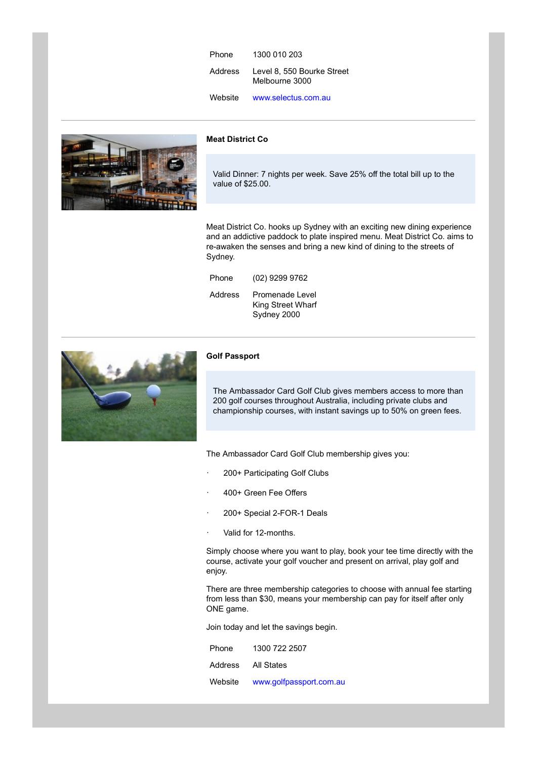| Phone   | 1300 010 203                                 |  |
|---------|----------------------------------------------|--|
| Address | Level 8, 550 Bourke Street<br>Melbourne 3000 |  |
| Website | www.selectus.com.au                          |  |
|         |                                              |  |

Meat District Co



Valid Dinner: 7 nights per week. Save 25% off the total bill up to the value of \$25.00.

Meat District Co. hooks up Sydney with an exciting new dining experience and an addictive paddock to plate inspired menu. Meat District Co. aims to re-awaken the senses and bring a new kind of dining to the streets of Sydney. Phone 1300 010 203<br>
Address Level 8, 550 Bourke Street<br>
Melbourne 3000<br>
Website www.selectus.com.au<br> **Aleat District Co**<br>
Valid Dinner: 7 nights per week. Save 25% off the total bill up to the<br>
value of \$25.00.<br>
Aleat Dist Address Level 8, 550 Bourke Street<br>
Melbourne 3000<br>
Website www.selectus.com.au<br>
Meat District Co<br>
Valid Dinner: 7 nights per week. Save 25% off the total bill up to the<br>
value of \$25.00.<br>
Meat District Co. hooks up Sydney

| Phone | (02) 9299 9762                                              |
|-------|-------------------------------------------------------------|
|       | Address Promenade Level<br>King Street Wharf<br>Sydney 2000 |



#### Golf Passport

The Ambassador Card Golf Club gives members access to more than 200 golf courses throughout Australia, including private clubs and championship courses, with instant savings up to 50% on green fees.

The Ambassador Card Golf Club membership gives you:

- 200+ Participating Golf Clubs
- · 400+ Green Fee Offers
- 200+ Special 2-FOR-1 Deals
- · Valid for 12-months.

Simply choose where you want to play, book your tee time directly with the course, activate your golf voucher and present on arrival, play golf and enjoy. Champonship courses, wan instant savings up to 50% on green rees.<br>The Ambassador Card Golf Club membership gives you:<br>200+ Participating Golf Clubs<br>400+ Green Fee Offers<br>200+ Special 2-FOR-1 Deals<br>Walid for 12-months.<br>Waid The Ambassador Card Golf Club membership gives you:<br>
200+ Participating Golf Clubs<br>
400+ Green Fee Offers<br>
200+ Special 2-FOR-1 Deals<br>
Valid for 12-months.<br>
Valid for 12-months.<br>
Valid for 12-months.<br>
Simply choose where y

There are three membership categories to choose with annual fee starting from less than \$30, means your membership can pay for itself after only ONE game.

Join today and let the savings begin.

|                    | Phone 1300 722 2507             |
|--------------------|---------------------------------|
| Address All States |                                 |
|                    | Website www.golfpassport.com.au |